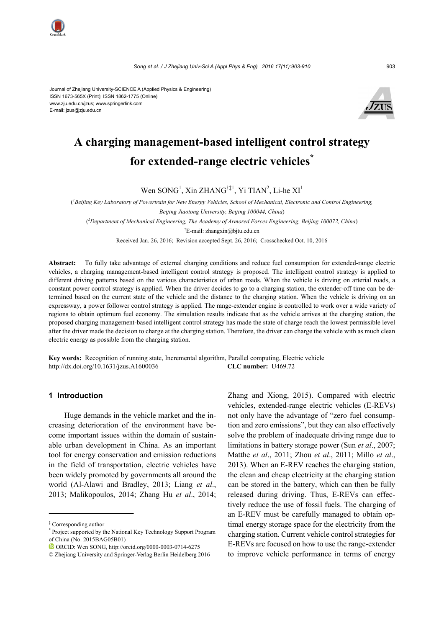



# **A charging management-based intelligent control strategy for extended-range electric vehicles\***

Wen SONG<sup>1</sup>, Xin ZHANG<sup>†‡1</sup>, Yi TIAN<sup>2</sup>, Li-he XI<sup>1</sup>

( *1 Beijing Key Laboratory of Powertrain for New Energy Vehicles, School of Mechanical, Electronic and Control Engineering, Beijing Jiaotong University, Beijing 100044, China*) ( *2 Department of Mechanical Engineering, The Academy of Armored Forces Engineering, Beijing 100072, China*) † E-mail: zhangxin@bjtu.edu.cn

Received Jan. 26, 2016; Revision accepted Sept. 26, 2016; Crosschecked Oct. 10, 2016

**Abstract:** To fully take advantage of external charging conditions and reduce fuel consumption for extended-range electric vehicles, a charging management-based intelligent control strategy is proposed. The intelligent control strategy is applied to different driving patterns based on the various characteristics of urban roads. When the vehicle is driving on arterial roads, a constant power control strategy is applied. When the driver decides to go to a charging station, the extender-off time can be determined based on the current state of the vehicle and the distance to the charging station. When the vehicle is driving on an expressway, a power follower control strategy is applied. The range-extender engine is controlled to work over a wide variety of regions to obtain optimum fuel economy. The simulation results indicate that as the vehicle arrives at the charging station, the proposed charging management-based intelligent control strategy has made the state of charge reach the lowest permissible level after the driver made the decision to charge at the charging station. Therefore, the driver can charge the vehicle with as much clean electric energy as possible from the charging station.

**Key words:** Recognition of running state, Incremental algorithm, Parallel computing, Electric vehicle http://dx.doi.org/10.1631/jzus.A1600036 **CLC number:** U469.72

#### **1 Introduction**

Huge demands in the vehicle market and the increasing deterioration of the environment have become important issues within the domain of sustainable urban development in China. As an important tool for energy conservation and emission reductions in the field of transportation, electric vehicles have been widely promoted by governments all around the world (Al-Alawi and Bradley, 2013; Liang *et al*., 2013; Malikopoulos, 2014; Zhang Hu *et al*., 2014;

Zhang and Xiong, 2015). Compared with electric vehicles, extended-range electric vehicles (E-REVs) not only have the advantage of "zero fuel consumption and zero emissions", but they can also effectively solve the problem of inadequate driving range due to limitations in battery storage power (Sun *et al*., 2007; Matthe *et al*., 2011; Zhou *et al*., 2011; Millo *et al*., 2013). When an E-REV reaches the charging station, the clean and cheap electricity at the charging station can be stored in the battery, which can then be fully released during driving. Thus, E-REVs can effectively reduce the use of fossil fuels. The charging of an E-REV must be carefully managed to obtain optimal energy storage space for the electricity from the charging station. Current vehicle control strategies for E-REVs are focused on how to use the range-extender to improve vehicle performance in terms of energy

<sup>‡</sup> Corresponding author

<sup>\*</sup> Project supported by the National Key Technology Support Program of China (No. 2015BAG05B01)

ORCID: Wen SONG, http://orcid.org/0000-0003-0714-6275

<sup>©</sup> Zhejiang University and Springer-Verlag Berlin Heidelberg 2016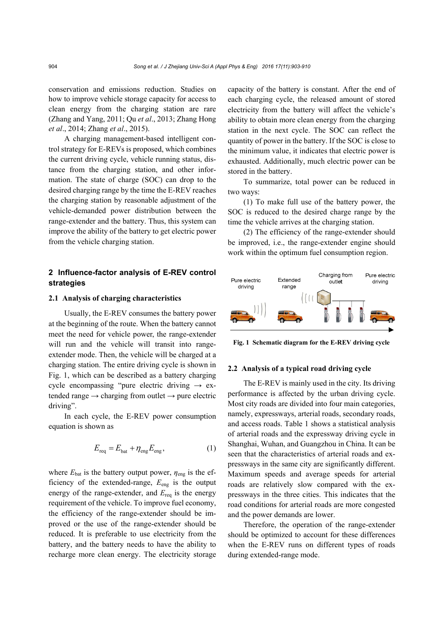conservation and emissions reduction. Studies on how to improve vehicle storage capacity for access to clean energy from the charging station are rare (Zhang and Yang, 2011; Qu *et al*., 2013; Zhang Hong *et al*., 2014; Zhang *et al*., 2015).

A charging management-based intelligent control strategy for E-REVs is proposed, which combines the current driving cycle, vehicle running status, distance from the charging station, and other information. The state of charge (SOC) can drop to the desired charging range by the time the E-REV reaches the charging station by reasonable adjustment of the vehicle-demanded power distribution between the range-extender and the battery. Thus, this system can improve the ability of the battery to get electric power from the vehicle charging station.

# **2 Influence-factor analysis of E-REV control strategies**

# **2.1 Analysis of charging characteristics**

Usually, the E-REV consumes the battery power at the beginning of the route. When the battery cannot meet the need for vehicle power, the range-extender will run and the vehicle will transit into rangeextender mode. Then, the vehicle will be charged at a charging station. The entire driving cycle is shown in Fig. 1, which can be described as a battery charging cycle encompassing "pure electric driving  $\rightarrow$  extended range  $\rightarrow$  charging from outlet  $\rightarrow$  pure electric driving".

In each cycle, the E-REV power consumption equation is shown as

$$
E_{\text{req}} = E_{\text{bat}} + \eta_{\text{eng}} E_{\text{eng}},\tag{1}
$$

where  $E_{\text{bat}}$  is the battery output power,  $\eta_{\text{eng}}$  is the efficiency of the extended-range, *E*eng is the output energy of the range-extender, and  $E_{\text{req}}$  is the energy requirement of the vehicle. To improve fuel economy, the efficiency of the range-extender should be improved or the use of the range-extender should be reduced. It is preferable to use electricity from the battery, and the battery needs to have the ability to recharge more clean energy. The electricity storage capacity of the battery is constant. After the end of each charging cycle, the released amount of stored electricity from the battery will affect the vehicle's ability to obtain more clean energy from the charging station in the next cycle. The SOC can reflect the quantity of power in the battery. If the SOC is close to the minimum value, it indicates that electric power is exhausted. Additionally, much electric power can be stored in the battery.

To summarize, total power can be reduced in two ways:

(1) To make full use of the battery power, the SOC is reduced to the desired charge range by the time the vehicle arrives at the charging station.

(2) The efficiency of the range-extender should be improved, i.e., the range-extender engine should work within the optimum fuel consumption region.



**Fig. 1 Schematic diagram for the E-REV driving cycle**

#### **2.2 Analysis of a typical road driving cycle**

The E-REV is mainly used in the city. Its driving performance is affected by the urban driving cycle. Most city roads are divided into four main categories, namely, expressways, arterial roads, secondary roads, and access roads. Table 1 shows a statistical analysis of arterial roads and the expressway driving cycle in Shanghai, Wuhan, and Guangzhou in China. It can be seen that the characteristics of arterial roads and expressways in the same city are significantly different. Maximum speeds and average speeds for arterial roads are relatively slow compared with the expressways in the three cities. This indicates that the road conditions for arterial roads are more congested and the power demands are lower.

Therefore, the operation of the range-extender should be optimized to account for these differences when the E-REV runs on different types of roads during extended-range mode.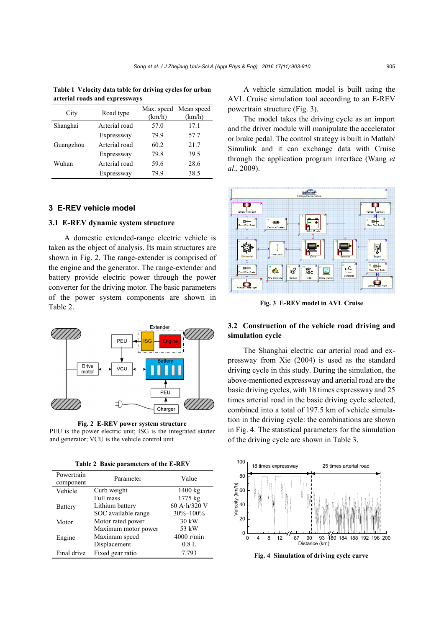**Table 1 Velocity data table for driving cycles for urban arterial roads and expressways** 

| City      | Road type     | Max. speed<br>(km/h) | Mean speed<br>(km/h) |
|-----------|---------------|----------------------|----------------------|
| Shanghai  | Arterial road | 57.0                 | 17.1                 |
|           | Expressway    | 799                  | 57.7                 |
| Guangzhou | Arterial road | 60.2                 | 21.7                 |
|           | Expressway    | 79.8                 | 39.5                 |
| Wuhan     | Arterial road | 59.6                 | 28.6                 |
|           | Expressway    | 799                  | 38.5                 |

## **3 E-REV vehicle model**

#### **3.1 E-REV dynamic system structure**

A domestic extended-range electric vehicle is taken as the object of analysis. Its main structures are shown in Fig. 2. The range-extender is comprised of the engine and the generator. The range-extender and battery provide electric power through the power converter for the driving motor. The basic parameters of the power system components are shown in Table 2.



**Fig. 2 E-REV power system structure**  PEU is the power electric unit; ISG is the integrated starter and generator; VCU is the vehicle control unit

**Table 2 Basic parameters of the E-REV** 

| Powertrain<br>component | Parameter           | Value          |
|-------------------------|---------------------|----------------|
| Vehicle                 | Curb weight         | 1400 kg        |
|                         | Full mass           | 1775 kg        |
| <b>Battery</b>          | Lithium battery     | 60 A h/320 V   |
|                         | SOC available range | $30\% - 100\%$ |
| Motor                   | Motor rated power   | 30 kW          |
|                         | Maximum motor power | 53 kW          |
| Engine                  | Maximum speed       | $4000$ r/min   |
|                         | Displacement        | 0.8L           |
| Final drive             | Fixed gear ratio    | 7.793          |

A vehicle simulation model is built using the AVL Cruise simulation tool according to an E-REV powertrain structure (Fig. 3).

The model takes the driving cycle as an import and the driver module will manipulate the accelerator or brake pedal. The control strategy is built in Matlab/ Simulink and it can exchange data with Cruise through the application program interface (Wang *et al*., 2009).



**Fig. 3 E-REV model in AVL Cruise**

# **3.2 Construction of the vehicle road driving and simulation cycle**

The Shanghai electric car arterial road and expressway from Xie (2004) is used as the standard driving cycle in this study. During the simulation, the above-mentioned expressway and arterial road are the basic driving cycles, with 18 times expressway and 25 times arterial road in the basic driving cycle selected, combined into a total of 197.5 km of vehicle simulation in the driving cycle: the combinations are shown in Fig. 4. The statistical parameters for the simulation of the driving cycle are shown in Table 3.



**Fig. 4 Simulation of driving cycle curve**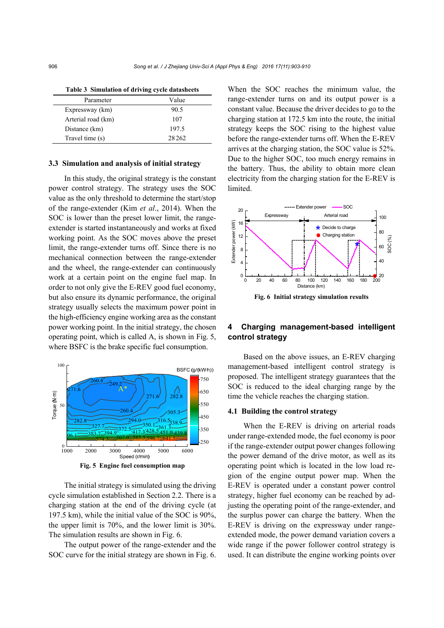| rabic 5 Simulation of uriving even uatasiretts |          |  |  |  |
|------------------------------------------------|----------|--|--|--|
| Parameter                                      | Value    |  |  |  |
| Expressway (km)                                | 90.5     |  |  |  |
| Arterial road (km)                             | 107      |  |  |  |
| Distance (km)                                  | 197.5    |  |  |  |
| Travel time (s)                                | 28 2 6 2 |  |  |  |
|                                                |          |  |  |  |

**Table 3 Simulation of driving cycle datasheets** 

#### **3.3 Simulation and analysis of initial strategy**

In this study, the original strategy is the constant power control strategy. The strategy uses the SOC value as the only threshold to determine the start/stop of the range-extender (Kim *et al*., 2014). When the SOC is lower than the preset lower limit, the rangeextender is started instantaneously and works at fixed working point. As the SOC moves above the preset limit, the range-extender turns off. Since there is no mechanical connection between the range-extender and the wheel, the range-extender can continuously work at a certain point on the engine fuel map. In order to not only give the E-REV good fuel economy, but also ensure its dynamic performance, the original strategy usually selects the maximum power point in the high-efficiency engine working area as the constant power working point. In the initial strategy, the chosen operating point, which is called A, is shown in Fig. 5, where BSFC is the brake specific fuel consumption.



The initial strategy is simulated using the driving cycle simulation established in Section 2.2. There is a charging station at the end of the driving cycle (at 197.5 km), while the initial value of the SOC is 90%, the upper limit is 70%, and the lower limit is 30%. The simulation results are shown in Fig. 6.

The output power of the range-extender and the SOC curve for the initial strategy are shown in Fig. 6.

When the SOC reaches the minimum value, the range-extender turns on and its output power is a constant value. Because the driver decides to go to the charging station at 172.5 km into the route, the initial strategy keeps the SOC rising to the highest value before the range-extender turns off. When the E-REV arrives at the charging station, the SOC value is 52%. Due to the higher SOC, too much energy remains in the battery. Thus, the ability to obtain more clean electricity from the charging station for the E-REV is limited.



## **4 Charging management-based intelligent control strategy**

Based on the above issues, an E-REV charging management-based intelligent control strategy is proposed. The intelligent strategy guarantees that the SOC is reduced to the ideal charging range by the time the vehicle reaches the charging station.

#### **4.1 Building the control strategy**

When the E-REV is driving on arterial roads under range-extended mode, the fuel economy is poor if the range-extender output power changes following the power demand of the drive motor, as well as its operating point which is located in the low load region of the engine output power map. When the E-REV is operated under a constant power control strategy, higher fuel economy can be reached by adjusting the operating point of the range-extender, and the surplus power can charge the battery. When the E-REV is driving on the expressway under rangeextended mode, the power demand variation covers a wide range if the power follower control strategy is used. It can distribute the engine working points over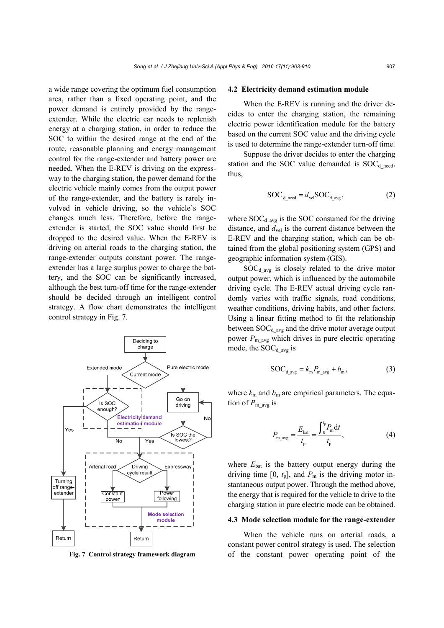a wide range covering the optimum fuel consumption area, rather than a fixed operating point, and the power demand is entirely provided by the rangeextender. While the electric car needs to replenish energy at a charging station, in order to reduce the SOC to within the desired range at the end of the route, reasonable planning and energy management control for the range-extender and battery power are needed. When the E-REV is driving on the expressway to the charging station, the power demand for the electric vehicle mainly comes from the output power of the range-extender, and the battery is rarely involved in vehicle driving, so the vehicle's SOC changes much less. Therefore, before the rangeextender is started, the SOC value should first be dropped to the desired value. When the E-REV is driving on arterial roads to the charging station, the range-extender outputs constant power. The rangeextender has a large surplus power to charge the battery, and the SOC can be significantly increased, although the best turn-off time for the range-extender should be decided through an intelligent control strategy. A flow chart demonstrates the intelligent control strategy in Fig. 7.



#### **4.2 Electricity demand estimation module**

When the E-REV is running and the driver decides to enter the charging station, the remaining electric power identification module for the battery based on the current SOC value and the driving cycle is used to determine the range-extender turn-off time.

Suppose the driver decides to enter the charging station and the SOC value demanded is  $SOC<sub>d</sub>$  need, thus,

$$
SOC_{d \text{ need}} = d_{vel} SOC_{d \text{ avg}}, \qquad (2)
$$

where  $SOC<sub>d</sub>$ <sub>avg</sub> is the SOC consumed for the driving distance, and  $d_{vel}$  is the current distance between the E-REV and the charging station, which can be obtained from the global positioning system (GPS) and geographic information system (GIS).

 $SOC<sub>d</sub>$ <sub>avg</sub> is closely related to the drive motor output power, which is influenced by the automobile driving cycle. The E-REV actual driving cycle randomly varies with traffic signals, road conditions, weather conditions, driving habits, and other factors. Using a linear fitting method to fit the relationship between  $SOC_{d\text{avg}}$  and the drive motor average output power  $P_{\text{m} \text{avg}}$  which drives in pure electric operating mode, the  $SOC<sub>d</sub>$  avg is

$$
SOC_{d\text{avg}} = k_{m} P_{m\text{avg}} + b_{m}, \qquad (3)
$$

where  $k_{\rm m}$  and  $b_{\rm m}$  are empirical parameters. The equation of  $P_{\text{m} \text{avg}}$  is

$$
P_{m_{\text{avg}}} = \frac{E_{\text{bat}}}{t_{\text{p}}} = \frac{\int_{0}^{t_{\text{p}}} P_{\text{m}} dt}{t_{\text{p}}},
$$
(4)

where *E*bat is the battery output energy during the driving time  $[0, t_p]$ , and  $P_m$  is the driving motor instantaneous output power. Through the method above, the energy that is required for the vehicle to drive to the charging station in pure electric mode can be obtained.

#### **4.3 Mode selection module for the range-extender**

When the vehicle runs on arterial roads, a constant power control strategy is used. The selection **Fig. 7 Control strategy framework diagram** of the constant power operating point of the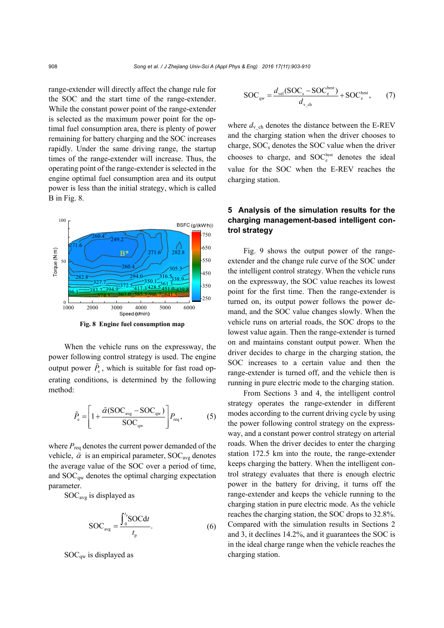range-extender will directly affect the change rule for the SOC and the start time of the range-extender. While the constant power point of the range-extender is selected as the maximum power point for the optimal fuel consumption area, there is plenty of power remaining for battery charging and the SOC increases rapidly. Under the same driving range, the startup times of the range-extender will increase. Thus, the operating point of the range-extender is selected in the engine optimal fuel consumption area and its output power is less than the initial strategy, which is called B in Fig. 8.



**Fig. 8 Engine fuel consumption map** 

When the vehicle runs on the expressway, the power following control strategy is used. The engine output power  $\tilde{P}_e$ , which is suitable for fast road operating conditions, is determined by the following method:

$$
\tilde{P}_{\rm e} = \left[ 1 + \frac{\tilde{\alpha}(\rm SOC_{\rm avg} - SOC_{\rm qw})}{\rm SOC_{\rm qw}} \right] P_{\rm req}, \tag{5}
$$

where  $P_{\text{req}}$  denotes the current power demanded of the vehicle,  $\tilde{\alpha}$  is an empirical parameter, SOC<sub>avg</sub> denotes the average value of the SOC over a period of time, and  $SOC<sub>qw</sub>$  denotes the optimal charging expectation parameter.

SOCavg is displayed as

$$
SOC_{avg} = \frac{\int_{0}^{t_{p}} \text{SOCd}t}{t_{p}}.
$$
 (6)

SOCqw is displayed as

$$
SOC_{\text{qw}} = \frac{d_{\text{vel}}(SOC_{\text{s}} - SOC_{\text{e}}^{\text{best}})}{d_{\text{v\_ch}}} + SOC_{\text{e}}^{\text{best}}, \quad (7)
$$

where  $d_{v \text{ ch}}$  denotes the distance between the E-REV and the charging station when the driver chooses to charge, SOC<sub>s</sub> denotes the SOC value when the driver chooses to charge, and  $SOC<sub>e</sub><sub>e</sub>$  denotes the ideal value for the SOC when the E-REV reaches the charging station.

# **5 Analysis of the simulation results for the charging management-based intelligent control strategy**

Fig. 9 shows the output power of the rangeextender and the change rule curve of the SOC under the intelligent control strategy. When the vehicle runs on the expressway, the SOC value reaches its lowest point for the first time. Then the range-extender is turned on, its output power follows the power demand, and the SOC value changes slowly. When the vehicle runs on arterial roads, the SOC drops to the lowest value again. Then the range-extender is turned on and maintains constant output power. When the driver decides to charge in the charging station, the SOC increases to a certain value and then the range-extender is turned off, and the vehicle then is running in pure electric mode to the charging station.

From Sections 3 and 4, the intelligent control strategy operates the range-extender in different modes according to the current driving cycle by using the power following control strategy on the expressway, and a constant power control strategy on arterial roads. When the driver decides to enter the charging station 172.5 km into the route, the range-extender keeps charging the battery. When the intelligent control strategy evaluates that there is enough electric power in the battery for driving, it turns off the range-extender and keeps the vehicle running to the charging station in pure electric mode. As the vehicle reaches the charging station, the SOC drops to 32.8%. Compared with the simulation results in Sections 2 and 3, it declines 14.2%, and it guarantees the SOC is in the ideal charge range when the vehicle reaches the charging station.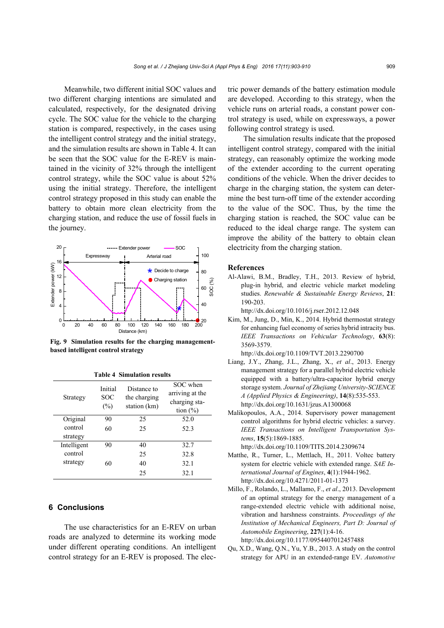Meanwhile, two different initial SOC values and two different charging intentions are simulated and calculated, respectively, for the designated driving cycle. The SOC value for the vehicle to the charging station is compared, respectively, in the cases using the intelligent control strategy and the initial strategy, and the simulation results are shown in Table 4. It can be seen that the SOC value for the E-REV is maintained in the vicinity of 32% through the intelligent control strategy, while the SOC value is about 52% using the initial strategy. Therefore, the intelligent control strategy proposed in this study can enable the battery to obtain more clean electricity from the charging station, and reduce the use of fossil fuels in the journey.



**Fig. 9 Simulation results for the charging managementbased intelligent control strategy**

| Strategy    | Initial<br><b>SOC</b><br>$(\%)$ | Distance to<br>the charging<br>station (km) | SOC when<br>arriving at the<br>charging sta-<br>tion $(\% )$ |
|-------------|---------------------------------|---------------------------------------------|--------------------------------------------------------------|
| Original    | 90                              | 25                                          | 52.0                                                         |
| control     | 60                              | 25                                          | 52.3                                                         |
| strategy    |                                 |                                             |                                                              |
| Intelligent | 90                              | 40                                          | 32.7                                                         |
| control     |                                 | 25                                          | 32.8                                                         |
| strategy    | 60                              | 40                                          | 32.1                                                         |
|             |                                 | 25                                          | 32.1                                                         |

**Table 4 Simulation results** 

## **6 Conclusions**

The use characteristics for an E-REV on urban roads are analyzed to determine its working mode under different operating conditions. An intelligent control strategy for an E-REV is proposed. The electric power demands of the battery estimation module are developed. According to this strategy, when the vehicle runs on arterial roads, a constant power control strategy is used, while on expressways, a power following control strategy is used.

The simulation results indicate that the proposed intelligent control strategy, compared with the initial strategy, can reasonably optimize the working mode of the extender according to the current operating conditions of the vehicle. When the driver decides to charge in the charging station, the system can determine the best turn-off time of the extender according to the value of the SOC. Thus, by the time the charging station is reached, the SOC value can be reduced to the ideal charge range. The system can improve the ability of the battery to obtain clean electricity from the charging station.

#### **References**

Al-Alawi, B.M., Bradley, T.H., 2013. Review of hybrid, plug-in hybrid, and electric vehicle market modeling studies. *Renewable & Sustainable Energy Reviews*, **21**: 190-203.

http://dx.doi.org/10.1016/j.rser.2012.12.048

- Kim, M., Jung, D., Min, K., 2014. Hybrid thermostat strategy for enhancing fuel economy of series hybrid intracity bus. *IEEE Transactions on Vehicular Technology*, **63**(8): 3569-3579.
	- http://dx.doi.org/10.1109/TVT.2013.2290700
- Liang, J.Y., Zhang, J.L., Zhang, X., *et al*., 2013. Energy management strategy for a parallel hybrid electric vehicle equipped with a battery/ultra-capacitor hybrid energy storage system. *Journal of Zhejiang University-SCIENCE A (Applied Physics & Engineering)*, **14**(8):535-553. http://dx.doi.org/10.1631/jzus.A1300068
- Malikopoulos, A.A., 2014. Supervisory power management control algorithms for hybrid electric vehicles: a survey. *IEEE Transactions on Intelligent Transportation Systems*, **15**(5):1869-1885. http://dx.doi.org/10.1109/TITS.2014.2309674
- Matthe, R., Turner, L., Mettlach, H., 2011. Voltec battery system for electric vehicle with extended range. *SAE International Journal of Engines*, **4**(1):1944-1962. http://dx.doi.org/10.4271/2011-01-1373
- Millo, F., Rolando, L., Mallamo, F., *et al*., 2013. Development of an optimal strategy for the energy management of a range-extended electric vehicle with additional noise, vibration and harshness constraints. *Proceedings of the Institution of Mechanical Engineers, Part D: Journal of Automobile Engineering*, **227**(1):4-16. http://dx.doi.org/10.1177/0954407012457488
- Qu, X.D., Wang, Q.N., Yu, Y.B., 2013. A study on the control strategy for APU in an extended-range EV. *Automotive*